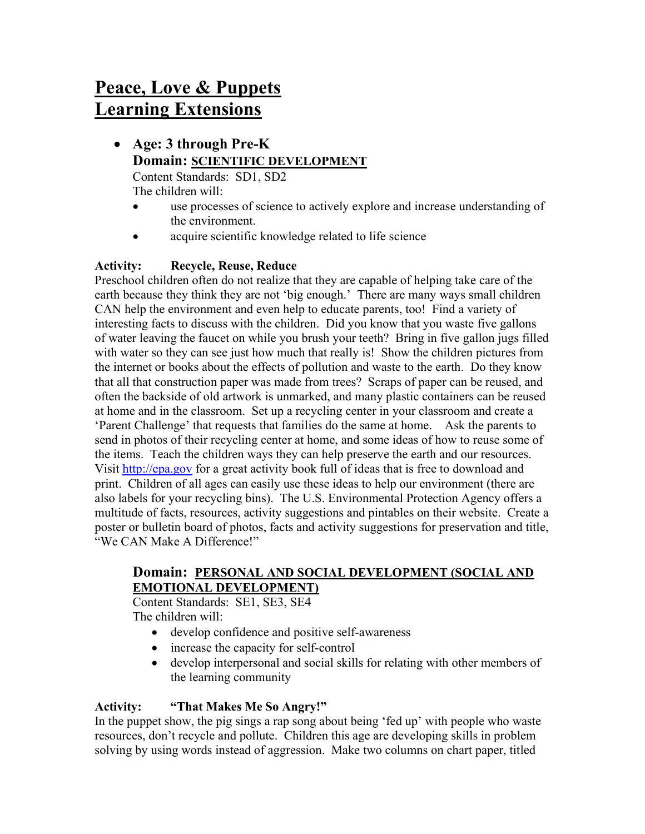# Peace, Love & Puppets Learning Extensions

- Age: 3 through Pre-K Domain: SCIENTIFIC DEVELOPMENT Content Standards: SD1, SD2 The children will:
	- use processes of science to actively explore and increase understanding of the environment.
	- acquire scientific knowledge related to life science

# Activity: Recycle, Reuse, Reduce

Preschool children often do not realize that they are capable of helping take care of the earth because they think they are not 'big enough.' There are many ways small children CAN help the environment and even help to educate parents, too! Find a variety of interesting facts to discuss with the children. Did you know that you waste five gallons of water leaving the faucet on while you brush your teeth? Bring in five gallon jugs filled with water so they can see just how much that really is! Show the children pictures from the internet or books about the effects of pollution and waste to the earth. Do they know that all that construction paper was made from trees? Scraps of paper can be reused, and often the backside of old artwork is unmarked, and many plastic containers can be reused at home and in the classroom. Set up a recycling center in your classroom and create a 'Parent Challenge' that requests that families do the same at home. Ask the parents to send in photos of their recycling center at home, and some ideas of how to reuse some of the items. Teach the children ways they can help preserve the earth and our resources. Visit http://epa.gov for a great activity book full of ideas that is free to download and print. Children of all ages can easily use these ideas to help our environment (there are also labels for your recycling bins). The U.S. Environmental Protection Agency offers a multitude of facts, resources, activity suggestions and pintables on their website. Create a poster or bulletin board of photos, facts and activity suggestions for preservation and title, "We CAN Make A Difference!"

### Domain: PERSONAL AND SOCIAL DEVELOPMENT (SOCIAL AND EMOTIONAL DEVELOPMENT)

Content Standards: SE1, SE3, SE4 The children will:

- develop confidence and positive self-awareness
- increase the capacity for self-control
- develop interpersonal and social skills for relating with other members of the learning community

# Activity: "That Makes Me So Angry!"

In the puppet show, the pig sings a rap song about being 'fed up' with people who waste resources, don't recycle and pollute. Children this age are developing skills in problem solving by using words instead of aggression. Make two columns on chart paper, titled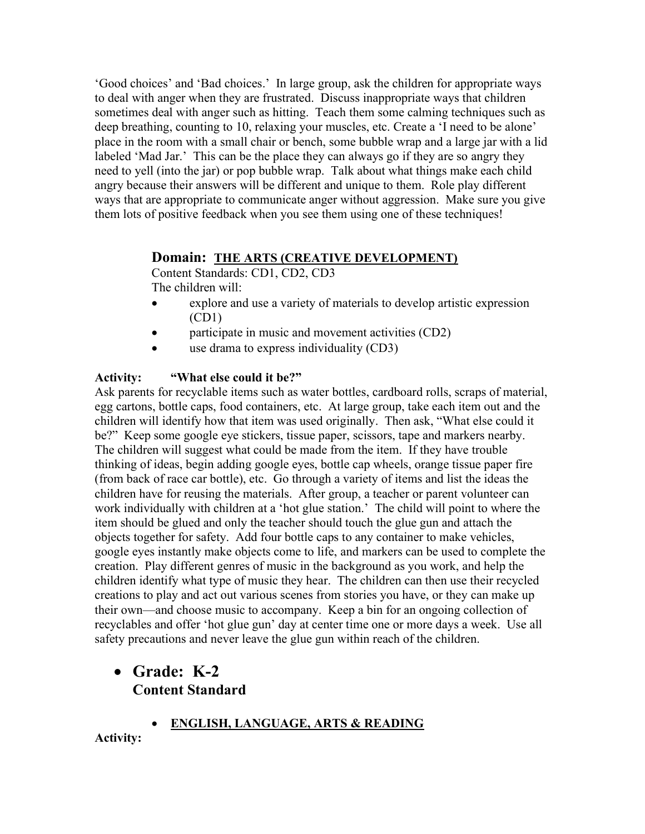'Good choices' and 'Bad choices.' In large group, ask the children for appropriate ways to deal with anger when they are frustrated. Discuss inappropriate ways that children sometimes deal with anger such as hitting. Teach them some calming techniques such as deep breathing, counting to 10, relaxing your muscles, etc. Create a 'I need to be alone' place in the room with a small chair or bench, some bubble wrap and a large jar with a lid labeled 'Mad Jar.' This can be the place they can always go if they are so angry they need to yell (into the jar) or pop bubble wrap. Talk about what things make each child angry because their answers will be different and unique to them. Role play different ways that are appropriate to communicate anger without aggression. Make sure you give them lots of positive feedback when you see them using one of these techniques!

### Domain: THE ARTS (CREATIVE DEVELOPMENT)

Content Standards: CD1, CD2, CD3 The children will:

- explore and use a variety of materials to develop artistic expression (CD1)
- participate in music and movement activities (CD2)
- use drama to express individuality (CD3)

### Activity: "What else could it be?"

Ask parents for recyclable items such as water bottles, cardboard rolls, scraps of material, egg cartons, bottle caps, food containers, etc. At large group, take each item out and the children will identify how that item was used originally. Then ask, "What else could it be?" Keep some google eye stickers, tissue paper, scissors, tape and markers nearby. The children will suggest what could be made from the item. If they have trouble thinking of ideas, begin adding google eyes, bottle cap wheels, orange tissue paper fire (from back of race car bottle), etc. Go through a variety of items and list the ideas the children have for reusing the materials. After group, a teacher or parent volunteer can work individually with children at a 'hot glue station.' The child will point to where the item should be glued and only the teacher should touch the glue gun and attach the objects together for safety. Add four bottle caps to any container to make vehicles, google eyes instantly make objects come to life, and markers can be used to complete the creation. Play different genres of music in the background as you work, and help the children identify what type of music they hear. The children can then use their recycled creations to play and act out various scenes from stories you have, or they can make up their own—and choose music to accompany. Keep a bin for an ongoing collection of recyclables and offer 'hot glue gun' day at center time one or more days a week. Use all safety precautions and never leave the glue gun within reach of the children.

# • Grade: K-2 Content Standard

ENGLISH, LANGUAGE, ARTS & READING

Activity: